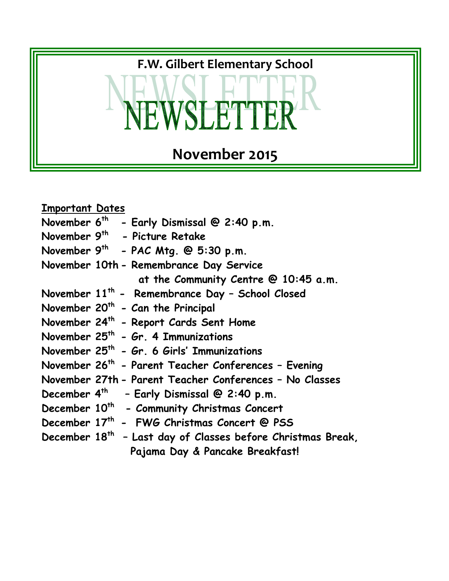

| <u><b>Important Dates</b></u> |                                                                         |
|-------------------------------|-------------------------------------------------------------------------|
|                               | November $6^{th}$ - Early Dismissal @ 2:40 p.m.                         |
|                               | November 9 <sup>th</sup> - Picture Retake                               |
|                               | November 9 <sup>th</sup> - PAC Mtg. @ 5:30 p.m.                         |
|                               | November 10th - Remembrance Day Service                                 |
|                               | at the Community Centre @ 10:45 a.m.                                    |
|                               | November 11 <sup>th</sup> - Remembrance Day - School Closed             |
|                               | November 20 <sup>th</sup> - Can the Principal                           |
|                               | November 24 <sup>th</sup> - Report Cards Sent Home                      |
|                               | November $25th$ - Gr. 4 Immunizations                                   |
|                               | November 25 <sup>th</sup> - Gr. 6 Girls' Immunizations                  |
|                               | November 26 <sup>th</sup> - Parent Teacher Conferences - Evening        |
|                               | November 27th - Parent Teacher Conferences - No Classes                 |
|                               | December 4 <sup>th</sup> - Early Dismissal @ 2:40 p.m.                  |
|                               | December 10 <sup>th</sup> - Community Christmas Concert                 |
|                               | December 17th - FWG Christmas Concert @ PSS                             |
|                               | December 18 <sup>th</sup> - Last day of Classes before Christmas Break, |
|                               | Pajama Day & Pancake Breakfast!                                         |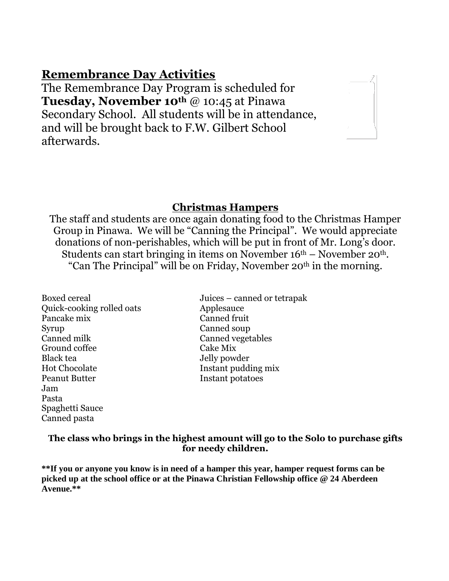# **Remembrance Day Activities**

The Remembrance Day Program is scheduled for **Tuesday, November 10th** @ 10:45 at Pinawa Secondary School. All students will be in attendance, and will be brought back to F.W. Gilbert School afterwards.

### **Christmas Hampers**

The staff and students are once again donating food to the Christmas Hamper Group in Pinawa. We will be "Canning the Principal". We would appreciate donations of non-perishables, which will be put in front of Mr. Long's door. Students can start bringing in items on November  $16<sup>th</sup>$  – November  $20<sup>th</sup>$ . "Can The Principal" will be on Friday, November 20<sup>th</sup> in the morning.

- Quick-cooking rolled oats Applesauce Pancake mix Canned fruit Syrup Canned soup Canned milk Canned vegetables Ground coffee Cake Mix Black tea Jelly powder Hot Chocolate Instant pudding mix Peanut Butter **Instant potatoes** Jam Pasta Spaghetti Sauce Canned pasta
- Boxed cereal Juices canned or tetrapak

#### **The class who brings in the highest amount will go to the Solo to purchase gifts for needy children.**

**\*\*If you or anyone you know is in need of a hamper this year, hamper request forms can be picked up at the school office or at the Pinawa Christian Fellowship office @ 24 Aberdeen Avenue.\*\***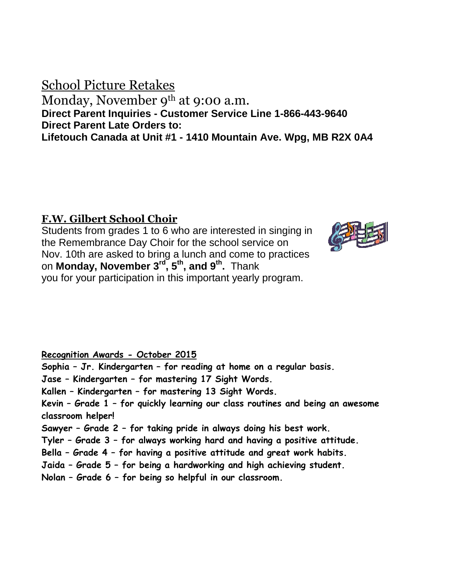# School Picture Retakes Monday, November 9<sup>th</sup> at 9:00 a.m. **Direct Parent Inquiries - Customer Service Line 1-866-443-9640 Direct Parent Late Orders to: Lifetouch Canada at Unit #1 - 1410 Mountain Ave. Wpg, MB R2X 0A4**

# **F.W. Gilbert School Choir**

Students from grades 1 to 6 who are interested in singing in the Remembrance Day Choir for the school service on Nov. 10th are asked to bring a lunch and come to practices on **Monday, November 3rd, 5th, and 9 th .** Thank you for your participation in this important yearly program.



### **Recognition Awards - October 2015**

**Sophia – Jr. Kindergarten – for reading at home on a regular basis. Jase – Kindergarten – for mastering 17 Sight Words. Kallen – Kindergarten – for mastering 13 Sight Words. Kevin – Grade 1 – for quickly learning our class routines and being an awesome classroom helper! Sawyer – Grade 2 – for taking pride in always doing his best work. Tyler – Grade 3 – for always working hard and having a positive attitude. Bella – Grade 4 – for having a positive attitude and great work habits. Jaida – Grade 5 – for being a hardworking and high achieving student. Nolan – Grade 6 – for being so helpful in our classroom.**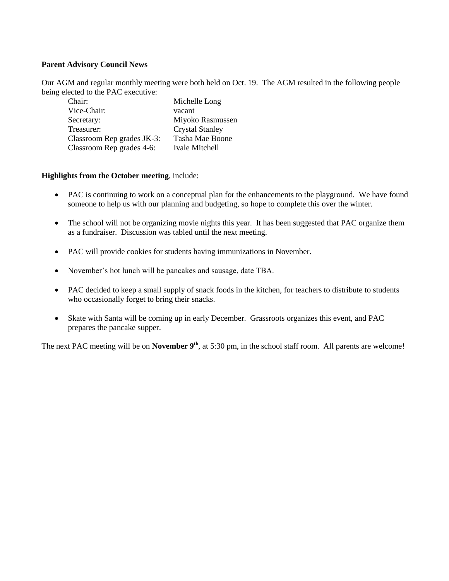#### **Parent Advisory Council News**

Our AGM and regular monthly meeting were both held on Oct. 19. The AGM resulted in the following people being elected to the PAC executive:

| Chair:                     | Michelle Long          |
|----------------------------|------------------------|
| Vice-Chair:                | vacant                 |
| Secretary:                 | Miyoko Rasmussen       |
| Treasurer:                 | <b>Crystal Stanley</b> |
| Classroom Rep grades JK-3: | Tasha Mae Boone        |
| Classroom Rep grades 4-6:  | Ivale Mitchell         |

#### **Highlights from the October meeting**, include:

- PAC is continuing to work on a conceptual plan for the enhancements to the playground. We have found someone to help us with our planning and budgeting, so hope to complete this over the winter.
- The school will not be organizing movie nights this year. It has been suggested that PAC organize them as a fundraiser. Discussion was tabled until the next meeting.
- PAC will provide cookies for students having immunizations in November.
- November's hot lunch will be pancakes and sausage, date TBA.
- PAC decided to keep a small supply of snack foods in the kitchen, for teachers to distribute to students who occasionally forget to bring their snacks.
- Skate with Santa will be coming up in early December. Grassroots organizes this event, and PAC prepares the pancake supper.

The next PAC meeting will be on **November 9<sup>th</sup>**, at 5:30 pm, in the school staff room. All parents are welcome!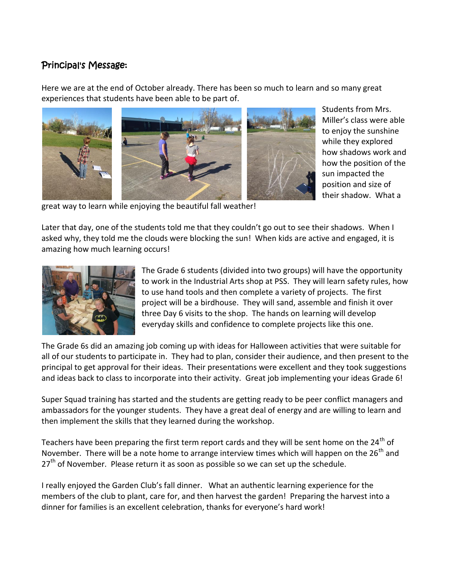## Principal's Message:

Here we are at the end of October already. There has been so much to learn and so many great experiences that students have been able to be part of.



Students from Mrs. Miller's class were able to enjoy the sunshine while they explored how shadows work and how the position of the sun impacted the position and size of their shadow. What a

great way to learn while enjoying the beautiful fall weather!

Later that day, one of the students told me that they couldn't go out to see their shadows. When I asked why, they told me the clouds were blocking the sun! When kids are active and engaged, it is amazing how much learning occurs!



The Grade 6 students (divided into two groups) will have the opportunity to work in the Industrial Arts shop at PSS. They will learn safety rules, how to use hand tools and then complete a variety of projects. The first project will be a birdhouse. They will sand, assemble and finish it over three Day 6 visits to the shop. The hands on learning will develop everyday skills and confidence to complete projects like this one.

The Grade 6s did an amazing job coming up with ideas for Halloween activities that were suitable for all of our students to participate in. They had to plan, consider their audience, and then present to the principal to get approval for their ideas. Their presentations were excellent and they took suggestions and ideas back to class to incorporate into their activity. Great job implementing your ideas Grade 6!

Super Squad training has started and the students are getting ready to be peer conflict managers and ambassadors for the younger students. They have a great deal of energy and are willing to learn and then implement the skills that they learned during the workshop.

Teachers have been preparing the first term report cards and they will be sent home on the  $24<sup>th</sup>$  of November. There will be a note home to arrange interview times which will happen on the 26<sup>th</sup> and  $27<sup>th</sup>$  of November. Please return it as soon as possible so we can set up the schedule.

I really enjoyed the Garden Club's fall dinner. What an authentic learning experience for the members of the club to plant, care for, and then harvest the garden! Preparing the harvest into a dinner for families is an excellent celebration, thanks for everyone's hard work!